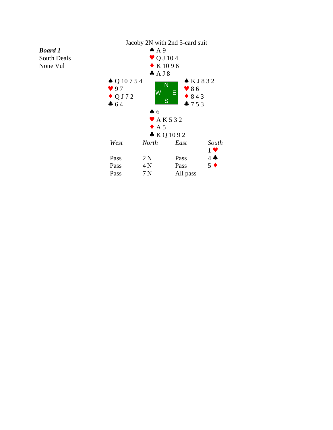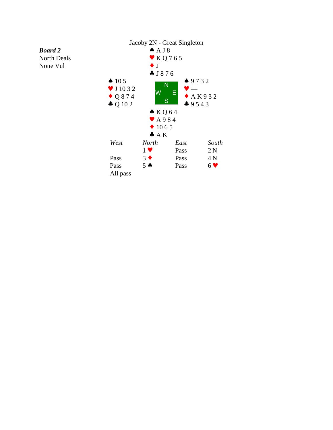## *Board 2*

North Deals None Vul

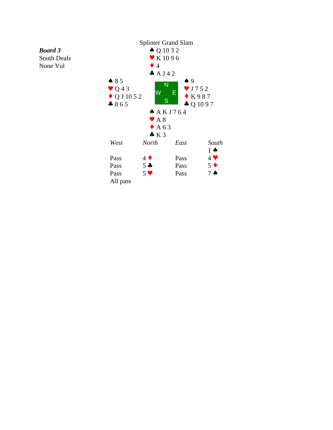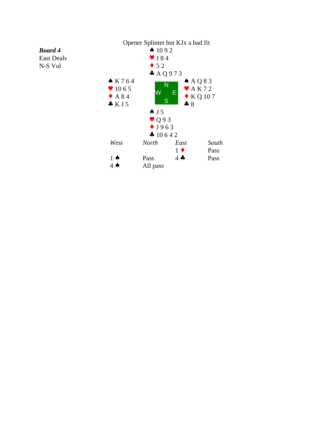

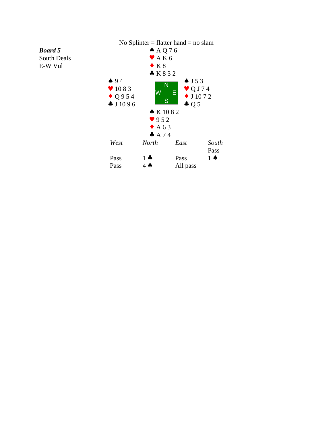

## *Board 5*

South Deals E-W Vul